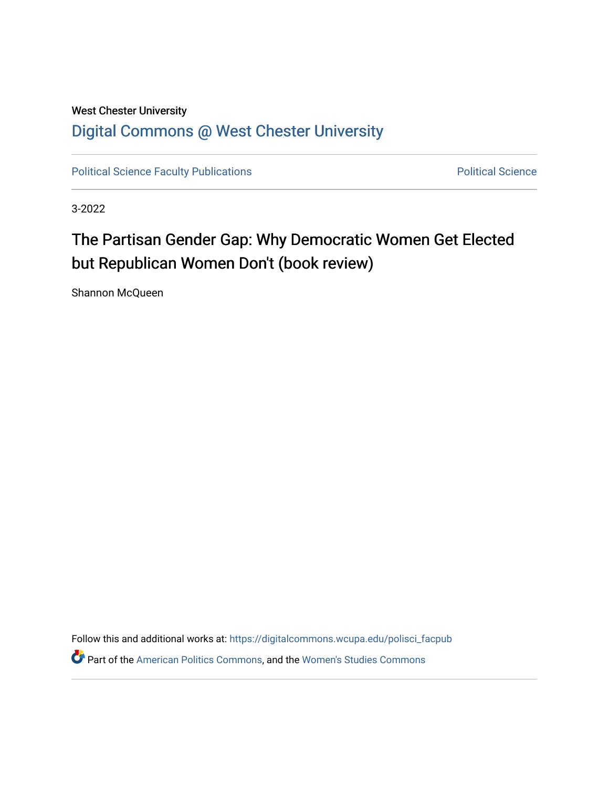## West Chester University [Digital Commons @ West Chester University](https://digitalcommons.wcupa.edu/)

[Political Science Faculty Publications](https://digitalcommons.wcupa.edu/polisci_facpub) **Political Science** Political Science

3-2022

## The Partisan Gender Gap: Why Democratic Women Get Elected but Republican Women Don't (book review)

Shannon McQueen

Follow this and additional works at: [https://digitalcommons.wcupa.edu/polisci\\_facpub](https://digitalcommons.wcupa.edu/polisci_facpub?utm_source=digitalcommons.wcupa.edu%2Fpolisci_facpub%2F6&utm_medium=PDF&utm_campaign=PDFCoverPages)  Part of the [American Politics Commons,](http://network.bepress.com/hgg/discipline/387?utm_source=digitalcommons.wcupa.edu%2Fpolisci_facpub%2F6&utm_medium=PDF&utm_campaign=PDFCoverPages) and the [Women's Studies Commons](http://network.bepress.com/hgg/discipline/561?utm_source=digitalcommons.wcupa.edu%2Fpolisci_facpub%2F6&utm_medium=PDF&utm_campaign=PDFCoverPages)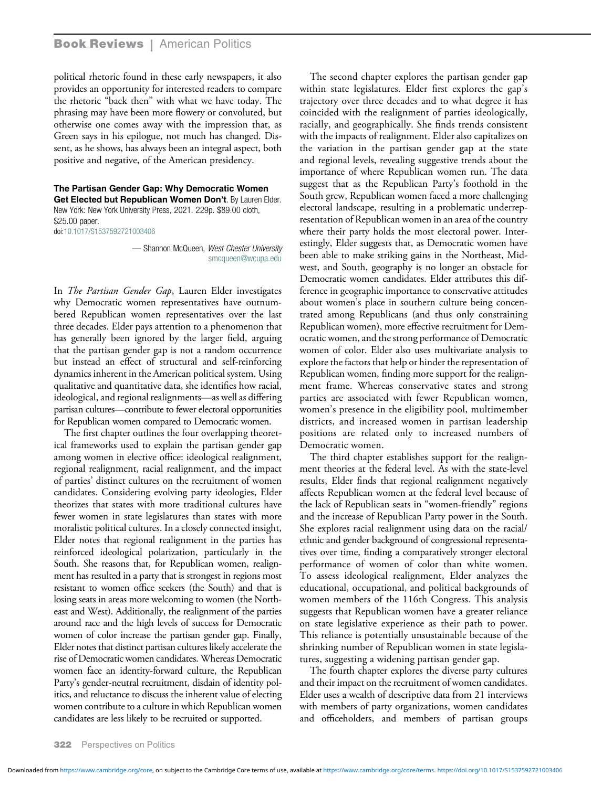## **Book Reviews** | American Politics

political rhetoric found in these early newspapers, it also provides an opportunity for interested readers to compare the rhetoric "back then" with what we have today. The phrasing may have been more flowery or convoluted, but otherwise one comes away with the impression that, as Green says in his epilogue, not much has changed. Dissent, as he shows, has always been an integral aspect, both positive and negative, of the American presidency.

The Partisan Gender Gap: Why Democratic Women Get Elected but Republican Women Don't. By Lauren Elder. New York: New York University Press, 2021. 229p. \$89.00 cloth, \$25.00 paper. doi[:10.1017/S1537592721003406](https://doi.org/10.1017/S1537592721003406)

> — Shannon McQueen, West Chester University [smcqueen@wcupa.edu](mailto:smcqueen@wcupa.edu)

In The Partisan Gender Gap, Lauren Elder investigates why Democratic women representatives have outnumbered Republican women representatives over the last three decades. Elder pays attention to a phenomenon that has generally been ignored by the larger field, arguing that the partisan gender gap is not a random occurrence but instead an effect of structural and self-reinforcing dynamics inherent in the American political system. Using qualitative and quantitative data, she identifies how racial, ideological, and regional realignments—as well as differing partisan cultures—contribute to fewer electoral opportunities for Republican women compared to Democratic women.

The first chapter outlines the four overlapping theoretical frameworks used to explain the partisan gender gap among women in elective office: ideological realignment, regional realignment, racial realignment, and the impact of parties' distinct cultures on the recruitment of women candidates. Considering evolving party ideologies, Elder theorizes that states with more traditional cultures have fewer women in state legislatures than states with more moralistic political cultures. In a closely connected insight, Elder notes that regional realignment in the parties has reinforced ideological polarization, particularly in the South. She reasons that, for Republican women, realignment has resulted in a party that is strongest in regions most resistant to women office seekers (the South) and that is losing seats in areas more welcoming to women (the Northeast and West). Additionally, the realignment of the parties around race and the high levels of success for Democratic women of color increase the partisan gender gap. Finally, Elder notes that distinct partisan cultures likely accelerate the rise of Democratic women candidates. Whereas Democratic women face an identity-forward culture, the Republican Party's gender-neutral recruitment, disdain of identity politics, and reluctance to discuss the inherent value of electing women contribute to a culture in which Republican women candidates are less likely to be recruited or supported.

The second chapter explores the partisan gender gap within state legislatures. Elder first explores the gap's trajectory over three decades and to what degree it has coincided with the realignment of parties ideologically, racially, and geographically. She finds trends consistent with the impacts of realignment. Elder also capitalizes on the variation in the partisan gender gap at the state and regional levels, revealing suggestive trends about the importance of where Republican women run. The data suggest that as the Republican Party's foothold in the South grew, Republican women faced a more challenging electoral landscape, resulting in a problematic underrepresentation of Republican women in an area of the country where their party holds the most electoral power. Interestingly, Elder suggests that, as Democratic women have been able to make striking gains in the Northeast, Midwest, and South, geography is no longer an obstacle for Democratic women candidates. Elder attributes this difference in geographic importance to conservative attitudes about women's place in southern culture being concentrated among Republicans (and thus only constraining Republican women), more effective recruitment for Democratic women, and the strong performance of Democratic women of color. Elder also uses multivariate analysis to explore the factors that help or hinder the representation of Republican women, finding more support for the realignment frame. Whereas conservative states and strong parties are associated with fewer Republican women, women's presence in the eligibility pool, multimember districts, and increased women in partisan leadership positions are related only to increased numbers of Democratic women.

The third chapter establishes support for the realignment theories at the federal level. As with the state-level results, Elder finds that regional realignment negatively affects Republican women at the federal level because of the lack of Republican seats in "women-friendly" regions and the increase of Republican Party power in the South. She explores racial realignment using data on the racial/ ethnic and gender background of congressional representatives over time, finding a comparatively stronger electoral performance of women of color than white women. To assess ideological realignment, Elder analyzes the educational, occupational, and political backgrounds of women members of the 116th Congress. This analysis suggests that Republican women have a greater reliance on state legislative experience as their path to power. This reliance is potentially unsustainable because of the shrinking number of Republican women in state legislatures, suggesting a widening partisan gender gap.

The fourth chapter explores the diverse party cultures and their impact on the recruitment of women candidates. Elder uses a wealth of descriptive data from 21 interviews with members of party organizations, women candidates and officeholders, and members of partisan groups